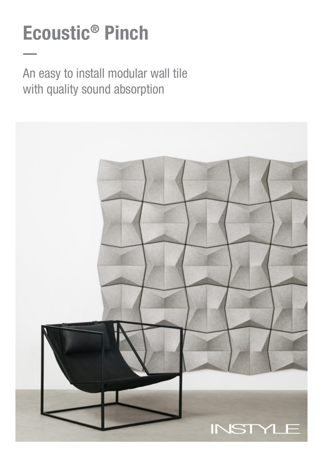# Ecoustic® Pinch

An easy to install modular wall tile with quality sound absorption

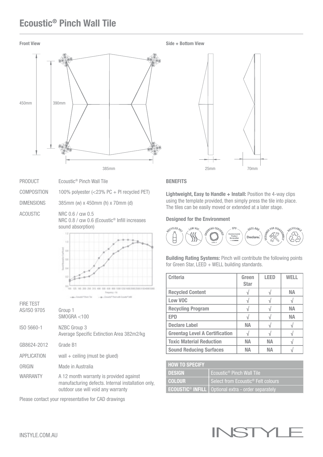## Ecoustic® Pinch Wall Tile





70mm

| PRODUCT           | Ecoustic <sup>®</sup> Pinch Wall Tile                                        |
|-------------------|------------------------------------------------------------------------------|
| COMPOSITION       | 100% polyester $\left( < 23\% \text{ PC} + \text{PI} \right)$ recycled PET)  |
| <b>DIMENSIONS</b> | 385mm (w) x 450mm (h) x 70mm (d)                                             |
| ACOUSTIC          | NRC 0.6 / aw 0.5<br>NRC 0.8 / aw 0.6 (Ecoustic <sup>®</sup> Infill increases |



| <b>FIRE TEST</b> |                                                                                                                                     |
|------------------|-------------------------------------------------------------------------------------------------------------------------------------|
| AS/ISO 9705      | Group 1<br>SMOGRA < 100                                                                                                             |
| ISO 5660-1       | NZBC Group 3<br>Average Specific Extinction Area 382m2/kg                                                                           |
| GB8624-2012      | Grade B1                                                                                                                            |
| APPLICATION      | wall $+$ ceiling (must be glued)                                                                                                    |
| ORIGIN           | Made in Australia                                                                                                                   |
| <b>WARRANTY</b>  | A 12 month warranty is provided against<br>manufacturing defects. Internal installation only,<br>outdoor use will void any warranty |

Please contact your representative for CAD drawings

### **BENEFITS**

Lightweight, Easy to Handle + Install: Position the 4-way clips using the template provided, then simply press the tile into place. The tiles can be easily moved or extended at a later stage.

#### Designed for the Environment



Building Rating Systems: Pinch will contribute the following points for Green Star, LEED + WELL building standards.

| <b>Criteria</b>                       | Green<br><b>Star</b> | <b>LEED</b> | WELL |
|---------------------------------------|----------------------|-------------|------|
| <b>Recycled Content</b>               |                      |             | NА   |
| Low VOC                               |                      |             |      |
| <b>Recycling Program</b>              |                      |             | NА   |
| <b>EPD</b>                            |                      |             | NА   |
| <b>Declare Label</b>                  | <b>NA</b>            |             |      |
| <b>Greentag Level A Certification</b> |                      |             |      |
| <b>Toxic Material Reduction</b>       | NА                   | <b>NA</b>   |      |
| <b>Sound Reducing Surfaces</b>        | NΔ                   | NΔ          |      |

| <b>HOW TO SPECIFY</b> |                                                                        |
|-----------------------|------------------------------------------------------------------------|
| I DESIGN              | Ecoustic <sup>®</sup> Pinch Wall Tile                                  |
| I COLOUR'             | Select from Ecoustic <sup>®</sup> Felt colours                         |
|                       | <b>ECOUSTIC<sup>®</sup> INFILL</b>   Optional extra - order separately |